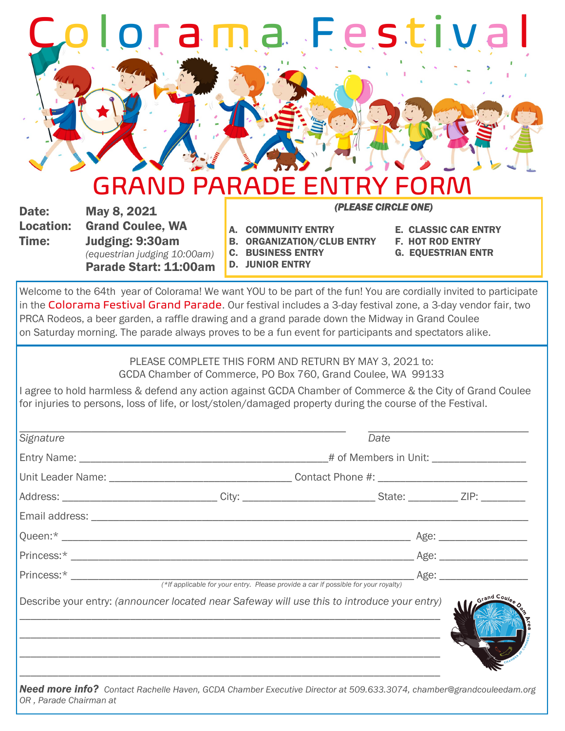## Colorama F e s t iv a l

## GRAND PARADE ENTRY FORM *(PLEASE CIRCLE ONE)*

Date: May 8, 2021

Location: Grand Coulee, WA Time: Judging: 9:30am *(equestrian judging 10:00am)* Parade Start: 11:00am

- A. COMMUNITY ENTRY E. CLASSIC CAR ENTRY
- B. ORGANIZATION/CLUB ENTRY F. HOT ROD ENTRY
- C. BUSINESS ENTRY G. EQUESTRIAN ENTR
- D. JUNIOR ENTRY
- 
- 
- 

Welcome to the 64th year of Colorama! We want YOU to be part of the fun! You are cordially invited to participate in the Colorama Festival Grand Parade. Our festival includes a 3-day festival zone, a 3-day vendor fair, two PRCA Rodeos, a beer garden, a raffle drawing and a grand parade down the Midway in Grand Coulee on Saturday morning. The parade always proves to be a fun event for participants and spectators alike.

> PLEASE COMPLETE THIS FORM AND RETURN BY MAY 3, 2021 to: GCDA Chamber of Commerce, PO Box 760, Grand Coulee, WA 99133

I agree to hold harmless & defend any action against GCDA Chamber of Commerce & the City of Grand Coulee for injuries to persons, loss of life, or lost/stolen/damaged property during the course of the Festival.

|  | Date |                                                                                                                                                                                                                     |
|--|------|---------------------------------------------------------------------------------------------------------------------------------------------------------------------------------------------------------------------|
|  |      |                                                                                                                                                                                                                     |
|  |      |                                                                                                                                                                                                                     |
|  |      |                                                                                                                                                                                                                     |
|  |      |                                                                                                                                                                                                                     |
|  |      |                                                                                                                                                                                                                     |
|  |      |                                                                                                                                                                                                                     |
|  |      |                                                                                                                                                                                                                     |
|  |      | Grand Coule                                                                                                                                                                                                         |
|  |      | Address: _________________________________City: ________________________________State: _____________ZIP: ___________<br>Describe your entry: (announcer located near Safeway will use this to introduce your entry) |

*OR , Parade Chairman at*